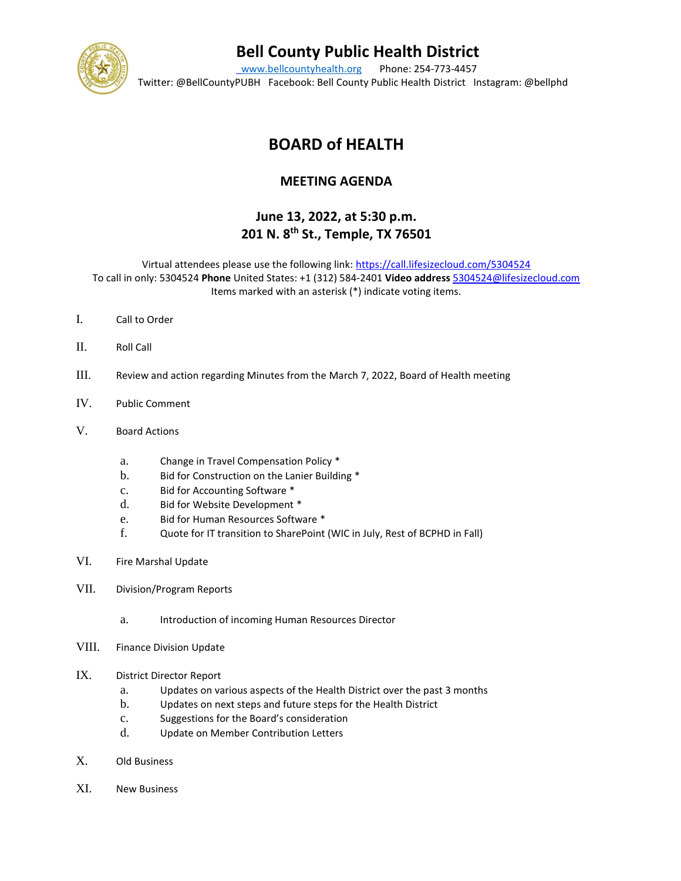

# **Bell County Public Health District**

[www.bellcountyhealth.org](http://www.bellcountyhealth.org/) Phone: 254-773-4457 Twitter: @BellCountyPUBH Facebook: Bell County Public Health District Instagram: @bellphd

## **BOARD of HEALTH**

#### **MEETING AGENDA**

### **June 13, 2022, at 5:30 p.m. 201 N. 8th St., Temple, TX 76501**

Virtual attendees please use the following link:<https://call.lifesizecloud.com/5304524> To call in only: 5304524 **Phone** United States: +1 (312) 584-2401 **Video address** [5304524@lifesizecloud.com](mailto:5304524@lifesizecloud.com) Items marked with an asterisk (\*) indicate voting items.

- I. Call to Order
- II. Roll Call
- III. Review and action regarding Minutes from the March 7, 2022, Board of Health meeting
- IV. Public Comment
- V. Board Actions
	- a. Change in Travel Compensation Policy \*
	- b. Bid for Construction on the Lanier Building \*
	- c. Bid for Accounting Software \*
	- d. Bid for Website Development \*
	- e. Bid for Human Resources Software \*
	- f. Quote for IT transition to SharePoint (WIC in July, Rest of BCPHD in Fall)
- VI. Fire Marshal Update
- VII. Division/Program Reports
	- a. Introduction of incoming Human Resources Director
- VIII. Finance Division Update

#### IX. District Director Report

- a. Updates on various aspects of the Health District over the past 3 months
- b. Updates on next steps and future steps for the Health District
- c. Suggestions for the Board's consideration
- d. Update on Member Contribution Letters
- X. Old Business
- XI. New Business